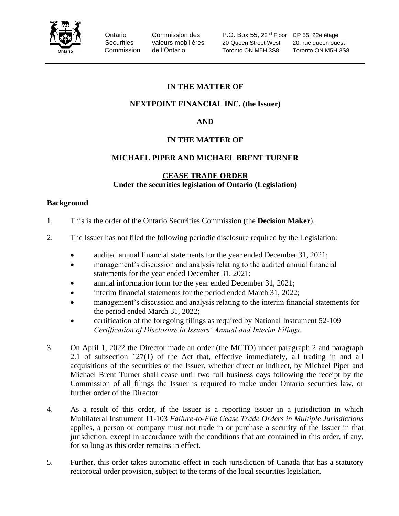

Ontario Commission des P.O. Box 55, 22<sup>nd</sup> Floor CP 55, 22e étage Securities valeurs mobilières 20 Queen Street West 20, rue queen ouest Commission de l'Ontario Toronto ON M5H 3S8 Toronto ON M5H 3S8

# **IN THE MATTER OF**

## **NEXTPOINT FINANCIAL INC. (the Issuer)**

## **AND**

## **IN THE MATTER OF**

## **MICHAEL PIPER AND MICHAEL BRENT TURNER**

## **CEASE TRADE ORDER Under the securities legislation of Ontario (Legislation)**

#### **Background**

- 1. This is the order of the Ontario Securities Commission (the **Decision Maker**).
- 2. The Issuer has not filed the following periodic disclosure required by the Legislation:
	- audited annual financial statements for the year ended December 31, 2021;
		- management's discussion and analysis relating to the audited annual financial statements for the year ended December 31, 2021;
		- annual information form for the year ended December 31, 2021;
		- interim financial statements for the period ended March 31, 2022;
		- management's discussion and analysis relating to the interim financial statements for the period ended March 31, 2022;
		- certification of the foregoing filings as required by National Instrument 52-109 *Certification of Disclosure in Issuers' Annual and Interim Filings*.
- 3. On April 1, 2022 the Director made an order (the MCTO) under paragraph 2 and paragraph 2.1 of subsection 127(1) of the Act that, effective immediately, all trading in and all acquisitions of the securities of the Issuer, whether direct or indirect, by Michael Piper and Michael Brent Turner shall cease until two full business days following the receipt by the Commission of all filings the Issuer is required to make under Ontario securities law, or further order of the Director.
- 4. As a result of this order, if the Issuer is a reporting issuer in a jurisdiction in which Multilateral Instrument 11-103 *Failure-to-File Cease Trade Orders in Multiple Jurisdictions* applies, a person or company must not trade in or purchase a security of the Issuer in that jurisdiction, except in accordance with the conditions that are contained in this order, if any, for so long as this order remains in effect.
- 5. Further, this order takes automatic effect in each jurisdiction of Canada that has a statutory reciprocal order provision, subject to the terms of the local securities legislation.